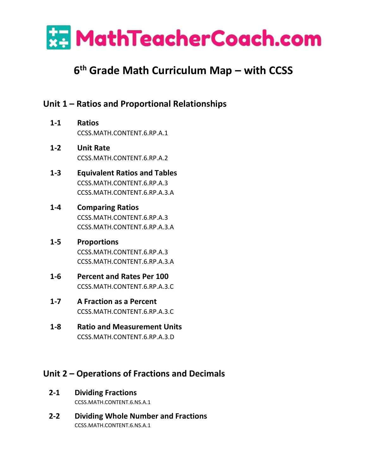

# **6 th Grade Math Curriculum Map – with CCSS**

# **Unit 1 – Ratios and Proportional Relationships**

- **1-1 Ratios** [CCSS.MATH.CONTENT.6.RP.A.1](http://www.corestandards.org/Math/Content/6/RP/A/1/)
- **1-2 Unit Rate** CCSS.MATH.CONTENT.6.RP.A.2
- **1-3 Equivalent Ratios and Tables** CCSS.MATH.CONTENT.6.RP.A.3 CCSS.MATH.CONTENT.6.RP.A.3.A
- **1-4 Comparing Ratios** CCSS.MATH.CONTENT.6.RP.A.3 CCSS.MATH.CONTENT.6.RP.A.3.A
- **1-5 Proportions** CCSS.MATH.CONTENT.6.RP.A.3 CCSS.MATH.CONTENT.6.RP.A.3.A
- **1-6 Percent and Rates Per 100** [CCSS.MATH.CONTENT.6.RP.A.3.C](http://www.corestandards.org/Math/Content/6/RP/A/3/c/)
- **1-7 A Fraction as a Percent** [CCSS.MATH.CONTENT.6.RP.A.3.C](http://www.corestandards.org/Math/Content/6/RP/A/3/c/)
- **1-8 Ratio and Measurement Units** [CCSS.MATH.CONTENT.6.RP.A.3.D](http://www.corestandards.org/Math/Content/6/RP/A/3/c/)

# **Unit 2 – Operations of Fractions and Decimals**

- **2-1 Dividing Fractions** CCSS.MATH.CONTENT.6.NS.A.1
- **2-2 Dividing Whole Number and Fractions** CCSS.MATH.CONTENT.6.NS.A.1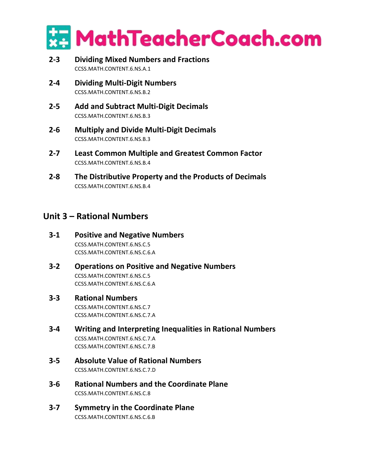

- **2-3 Dividing Mixed Numbers and Fractions** CCSS.MATH.CONTENT.6.NS.A.1
- **2-4 Dividing Multi-Digit Numbers** CCSS.MATH.CONTENT.6.NS.B.2
- **2-5 Add and Subtract Multi-Digit Decimals** CCSS.MATH.CONTENT.6.NS.B.3
- **2-6 Multiply and Divide Multi-Digit Decimals** CCSS.MATH.CONTENT.6.NS.B.3
- **2-7 Least Common Multiple and Greatest Common Factor** CCSS.MATH.CONTENT.6.NS.B.4
- **2-8 The Distributive Property and the Products of Decimals** CCSS.MATH.CONTENT.6.NS.B.4

### **Unit 3 – Rational Numbers**

- **3-1 Positive and Negative Numbers** [CCSS.MATH.CONTENT.6.NS.C.5](http://www.corestandards.org/Math/Content/6/NS/C/5/) [CCSS.MATH.CONTENT.6.NS.C.6.A](http://www.corestandards.org/Math/Content/6/NS/C/6/a/)
- **3-2 Operations on Positive and Negative Numbers** [CCSS.MATH.CONTENT.6.NS.C.5](http://www.corestandards.org/Math/Content/6/NS/C/5/) [CCSS.MATH.CONTENT.6.NS.C.6.A](http://www.corestandards.org/Math/Content/6/NS/C/6/a/)

#### **3-3 Rational Numbers**

[CCSS.MATH.CONTENT.6.NS.C.7](http://www.corestandards.org/Math/Content/6/NS/C/7/) [CCSS.MATH.CONTENT.6.NS.C.7.](http://www.corestandards.org/Math/Content/6/NS/C/7/)A

- **3-4 Writing and Interpreting Inequalities in Rational Numbers** [CCSS.MATH.CONTENT.6.NS.C.7.](http://www.corestandards.org/Math/Content/6/NS/C/7/)A [CCSS.MATH.CONTENT.6.NS.C.7.](http://www.corestandards.org/Math/Content/6/NS/C/7/)B
- **3-5 Absolute Value of Rational Numbers** [CCSS.MATH.CONTENT.6.NS.C.7.](http://www.corestandards.org/Math/Content/6/NS/C/7/)D
- **3-6 Rational Numbers and the Coordinate Plane** [CCSS.MATH.CONTENT.6.NS.C.8](http://www.corestandards.org/Math/Content/6/NS/C/7/)
- **3-7 Symmetry in the Coordinate Plane** [CCSS.MATH.CONTENT.6.NS.C.6.B](http://www.corestandards.org/Math/Content/6/NS/C/6/b/)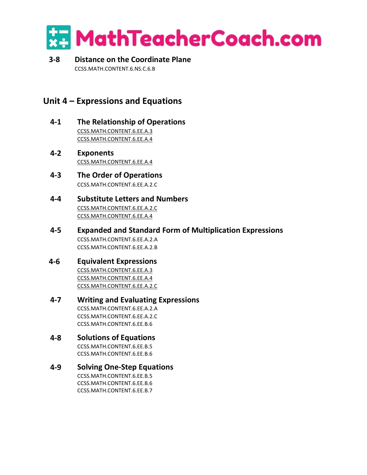

#### **3-8 Distance on the Coordinate Plane** [CCSS.MATH.CONTENT.6.NS.C.6.B](http://www.corestandards.org/Math/Content/6/NS/C/6/b/)

## **Unit 4 – Expressions and Equations**

- **4-1 The Relationship of Operations** [CCSS.MATH.CONTENT.6.EE.A.3](http://www.corestandards.org/Math/Content/6/EE/A/3/) [CCSS.MATH.CONTENT.6.EE.A.4](http://www.corestandards.org/Math/Content/6/EE/A/4/)
- **4-2 Exponents** [CCSS.MATH.CONTENT.6.EE.A.4](http://www.corestandards.org/Math/Content/6/EE/A/4/)
- **4-3 The Order of Operations** CCSS.MATH.CONTENT.6.EE.A.2.C
- **4-4 Substitute Letters and Numbers** [CCSS.MATH.CONTENT.6.EE.A.2.C](http://www.corestandards.org/Math/Content/6/EE/A/2/c/) [CCSS.MATH.CONTENT.6.EE.A.4](http://www.corestandards.org/Math/Content/6/EE/A/4/)
- **4-5 Expanded and Standard Form of Multiplication Expressions** CCSS.MATH.CONTENT.6.EE.A.2.A CCSS.MATH.CONTENT.6.EE.A.2.B
- **4-6 Equivalent Expressions** [CCSS.MATH.CONTENT.6.EE.A.3](http://www.corestandards.org/Math/Content/6/EE/A/3/) [CCSS.MATH.CONTENT.6.EE.A.4](http://www.corestandards.org/Math/Content/6/EE/A/4/) [CCSS.MATH.CONTENT.6.EE.A.2.C](http://www.corestandards.org/Math/Content/6/EE/A/2/c/)
- **4-7 Writing and Evaluating Expressions** CCSS.MATH.CONTENT.6.EE.A.2.A CCSS.MATH.CONTENT.6.EE.A.2.C CCSS.MATH.CONTENT.6.EE.B.6
- **4-8 Solutions of Equations** CCSS.MATH.CONTENT.6.EE.B.5 CCSS.MATH.CONTENT.6.EE.B.6

#### **4-9 Solving One-Step Equations** CCSS.MATH.CONTENT.6.EE.B.5 CCSS.MATH.CONTENT.6.EE.B.6 CCSS.MATH.CONTENT.6.EE.B.7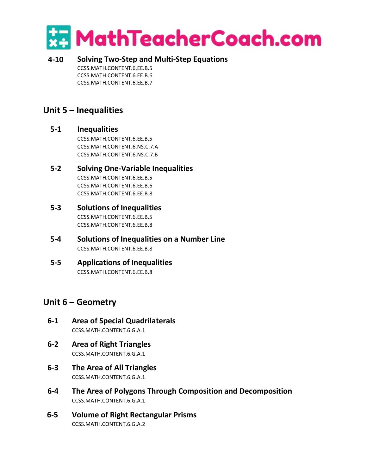

**4-10 Solving Two-Step and Multi-Step Equations** CCSS.MATH.CONTENT.6.EE.B.5 CCSS.MATH.CONTENT.6.EE.B.6 CCSS.MATH.CONTENT.6.EE.B.7

## **Unit 5 – Inequalities**

#### **5-1 Inequalities**

CCSS.MATH.CONTENT.6.EE.B.5 CCSS.MATH.CONTENT.6.NS.C.7.A [CCSS.MATH.CONTENT.6.NS.C.7.B](http://www.corestandards.org/Math/Content/6/NS/C/7/b/)

#### **5-2 Solving One-Variable Inequalities** CCSS.MATH.CONTENT.6.EE.B.5 CCSS.MATH.CONTENT.6.EE.B.6 CCSS.MATH.CONTENT.6.EE.B.8

- **5-3 Solutions of Inequalities** CCSS.MATH.CONTENT.6.EE.B.5 CCSS.MATH.CONTENT.6.EE.B.8
- **5-4 Solutions of Inequalities on a Number Line** CCSS.MATH.CONTENT.6.EE.B.8
- **5-5 Applications of Inequalities** CCSS.MATH.CONTENT.6.EE.B.8

### **Unit 6 – Geometry**

- **6-1 Area of Special Quadrilaterals** [CCSS.MATH.CONTENT.6.G.A.1](http://www.corestandards.org/Math/Content/6/G/A/1/)
- **6-2 Area of Right Triangles** [CCSS.MATH.CONTENT.6.G.A.1](http://www.corestandards.org/Math/Content/6/G/A/1/)
- **6-3 The Area of All Triangles** [CCSS.MATH.CONTENT.6.G.A.1](http://www.corestandards.org/Math/Content/6/G/A/1/)
- **6-4 The Area of Polygons Through Composition and Decomposition** [CCSS.MATH.CONTENT.6.G.A.1](http://www.corestandards.org/Math/Content/6/G/A/1/)
- **6-5 Volume of Right Rectangular Prisms** [CCSS.MATH.CONTENT.6.G.A.2](http://www.corestandards.org/Math/Content/6/G/A/1/)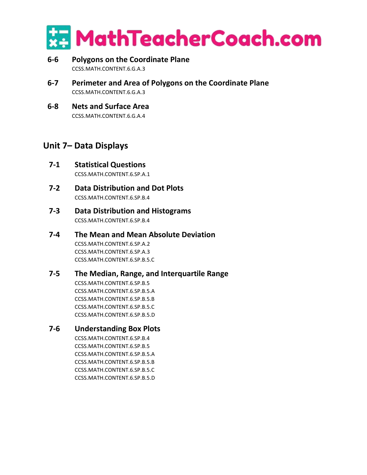

- **6-6 Polygons on the Coordinate Plane** [CCSS.MATH.CONTENT.6.G.A.3](http://www.corestandards.org/Math/Content/6/G/A/1/)
- **6-7 Perimeter and Area of Polygons on the Coordinate Plane** [CCSS.MATH.CONTENT.6.G.A.3](http://www.corestandards.org/Math/Content/6/G/A/1/)
- **6-8 Nets and Surface Area** [CCSS.MATH.CONTENT.6.G.A.4](http://www.corestandards.org/Math/Content/6/G/A/1/)

## **Unit 7– Data Displays**

- **7-1 Statistical Questions** CCSS.MATH.CONTENT.6.SP.A.1
- **7-2 Data Distribution and Dot Plots** CCSS.MATH.CONTENT.6.SP.B.4
- **7-3 Data Distribution and Histograms** CCSS.MATH.CONTENT.6.SP.B.4
- **7-4 The Mean and Mean Absolute Deviation** [CCSS.MATH.CONTENT.6.SP.A.2](http://www.corestandards.org/Math/Content/6/SP/A/2/) [CCSS.MATH.CONTENT.6.SP.A.3](http://www.corestandards.org/Math/Content/6/SP/A/2/) [CCSS.MATH.CONTENT.6.SP.B.5.C](http://www.corestandards.org/Math/Content/6/SP/B/5/c/)

#### **7-5 The Median, Range, and Interquartile Range** [CCSS.MATH.CONTENT.6.SP.B.5](http://www.corestandards.org/Math/Content/6/SP/B/5/) [CCSS.MATH.CONTENT.6.SP.B.5.](http://www.corestandards.org/Math/Content/6/SP/B/5/)A [CCSS.MATH.CONTENT.6.SP.B.5.](http://www.corestandards.org/Math/Content/6/SP/B/5/)B [CCSS.MATH.CONTENT.6.SP.B.5.](http://www.corestandards.org/Math/Content/6/SP/B/5/)C

[CCSS.MATH.CONTENT.6.SP.B.5.](http://www.corestandards.org/Math/Content/6/SP/B/5/)D

### **7-6 Understanding Box Plots**

CCSS.MATH.CONTENT.6.SP.B.4 [CCSS.MATH.CONTENT.6.SP.B.5](http://www.corestandards.org/Math/Content/6/SP/B/5/) [CCSS.MATH.CONTENT.6.SP.B.5.](http://www.corestandards.org/Math/Content/6/SP/B/5/)A [CCSS.MATH.CONTENT.6.SP.B.5.](http://www.corestandards.org/Math/Content/6/SP/B/5/)B [CCSS.MATH.CONTENT.6.SP.B.5.](http://www.corestandards.org/Math/Content/6/SP/B/5/)C [CCSS.MATH.CONTENT.6.SP.B.5.](http://www.corestandards.org/Math/Content/6/SP/B/5/)D